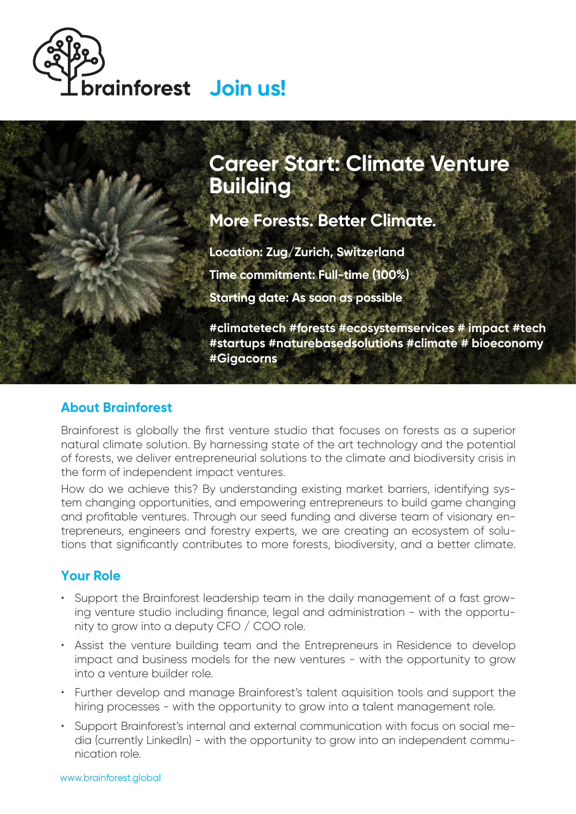



**More Forests. Better Climate.**

**Location: Zug/Zurich, Switzerland Time commitment: Full-time (100%) Starting date: As soon as possible**

**#climatetech #forests #ecosystemservices # impact #tech #startups #naturebasedsolutions #climate # bioeconomy #Gigacorns**

## **About Brainforest**

Brainforest is globally the first venture studio that focuses on forests as a superior natural climate solution. By harnessing state of the art technology and the potential of forests, we deliver entrepreneurial solutions to the climate and biodiversity crisis in the form of independent impact ventures.

How do we achieve this? By understanding existing market barriers, identifying system changing opportunities, and empowering entrepreneurs to build game changing and profitable ventures. Through our seed funding and diverse team of visionary entrepreneurs, engineers and forestry experts, we are creating an ecosystem of solutions that significantly contributes to more forests, biodiversity, and a better climate.

## **Your Role**

- Support the Brainforest leadership team in the daily management of a fast growing venture studio including finance, legal and administration - with the opportunity to grow into a deputy CFO / COO role.
- Assist the venture building team and the Entrepreneurs in Residence to develop impact and business models for the new ventures - with the opportunity to grow into a venture builder role.
- Further develop and manage Brainforest's talent aquisition tools and support the hiring processes - with the opportunity to grow into a talent management role.
- Support Brainforest's internal and external communication with focus on social media (currently LinkedIn) - with the opportunity to grow into an independent communication role.